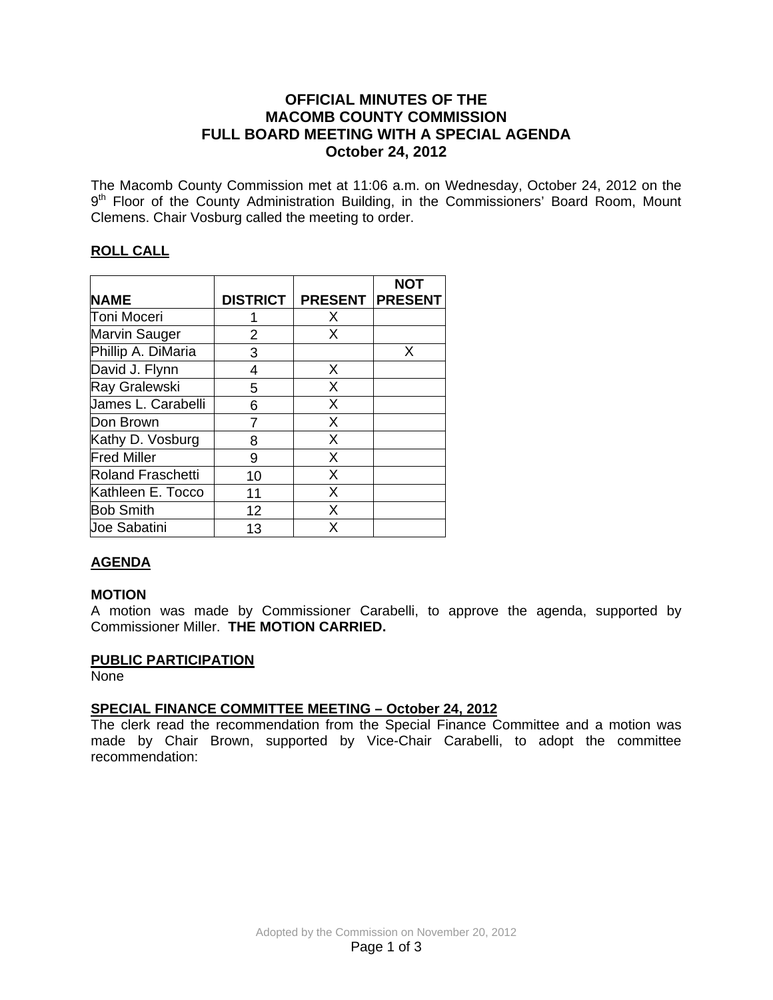#### **OFFICIAL MINUTES OF THE MACOMB COUNTY COMMISSION FULL BOARD MEETING WITH A SPECIAL AGENDA October 24, 2012**

The Macomb County Commission met at 11:06 a.m. on Wednesday, October 24, 2012 on the 9<sup>th</sup> Floor of the County Administration Building, in the Commissioners' Board Room, Mount Clemens. Chair Vosburg called the meeting to order.

#### **ROLL CALL**

|                    |                 |                | <b>NOT</b>     |
|--------------------|-----------------|----------------|----------------|
| <b>NAME</b>        | <b>DISTRICT</b> | <b>PRESENT</b> | <b>PRESENT</b> |
| Toni Moceri        |                 | X              |                |
| Marvin Sauger      | 2               | X              |                |
| Phillip A. DiMaria | 3               |                | X              |
| David J. Flynn     | 4               | X              |                |
| Ray Gralewski      | 5               | X              |                |
| James L. Carabelli | 6               | X              |                |
| Don Brown          |                 | X              |                |
| Kathy D. Vosburg   | 8               | X              |                |
| <b>Fred Miller</b> | 9               | X              |                |
| Roland Fraschetti  | 10              | X              |                |
| Kathleen E. Tocco  | 11              | X              |                |
| <b>Bob Smith</b>   | 12              | X              |                |
| Joe Sabatini       | 13              | X              |                |

## **AGENDA**

#### **MOTION**

A motion was made by Commissioner Carabelli, to approve the agenda, supported by Commissioner Miller. **THE MOTION CARRIED.** 

#### **PUBLIC PARTICIPATION**

None

## **SPECIAL FINANCE COMMITTEE MEETING – October 24, 2012**

The clerk read the recommendation from the Special Finance Committee and a motion was made by Chair Brown, supported by Vice-Chair Carabelli, to adopt the committee recommendation: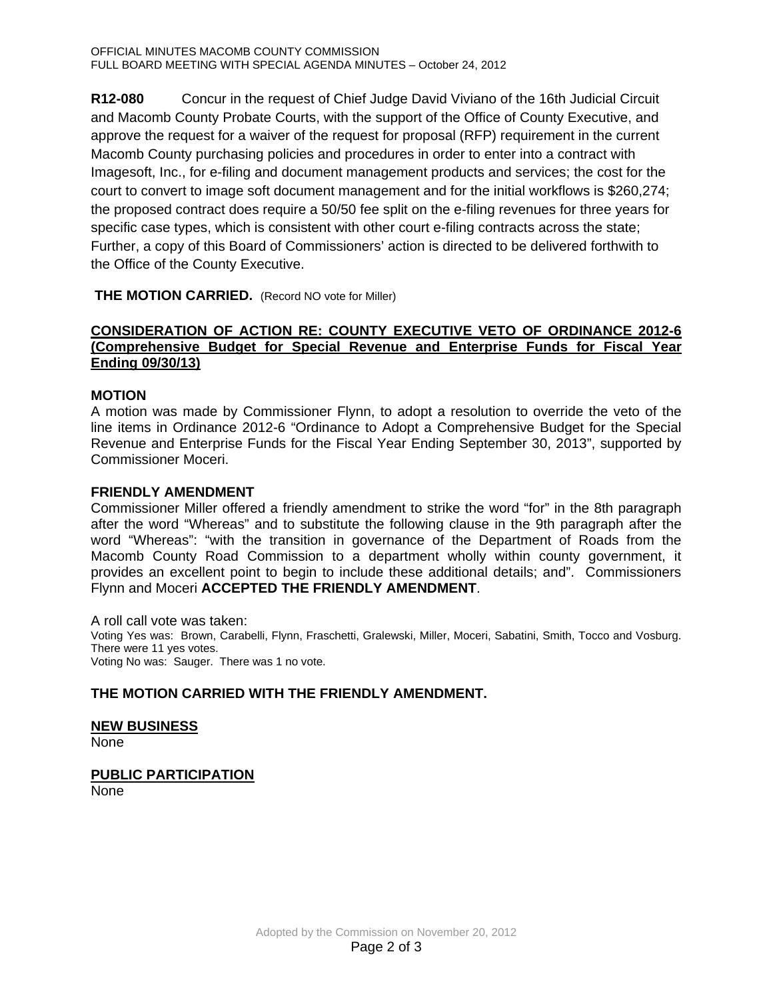**R12-080** Concur in the request of Chief Judge David Viviano of the 16th Judicial Circuit and Macomb County Probate Courts, with the support of the Office of County Executive, and approve the request for a waiver of the request for proposal (RFP) requirement in the current Macomb County purchasing policies and procedures in order to enter into a contract with Imagesoft, Inc., for e-filing and document management products and services; the cost for the court to convert to image soft document management and for the initial workflows is \$260,274; the proposed contract does require a 50/50 fee split on the e-filing revenues for three years for specific case types, which is consistent with other court e-filing contracts across the state; Further, a copy of this Board of Commissioners' action is directed to be delivered forthwith to the Office of the County Executive.

**THE MOTION CARRIED.** (Record NO vote for Miller)

#### **CONSIDERATION OF ACTION RE: COUNTY EXECUTIVE VETO OF ORDINANCE 2012-6 (Comprehensive Budget for Special Revenue and Enterprise Funds for Fiscal Year Ending 09/30/13)**

#### **MOTION**

A motion was made by Commissioner Flynn, to adopt a resolution to override the veto of the line items in Ordinance 2012-6 "Ordinance to Adopt a Comprehensive Budget for the Special Revenue and Enterprise Funds for the Fiscal Year Ending September 30, 2013", supported by Commissioner Moceri.

#### **FRIENDLY AMENDMENT**

Commissioner Miller offered a friendly amendment to strike the word "for" in the 8th paragraph after the word "Whereas" and to substitute the following clause in the 9th paragraph after the word "Whereas": "with the transition in governance of the Department of Roads from the Macomb County Road Commission to a department wholly within county government, it provides an excellent point to begin to include these additional details; and". Commissioners Flynn and Moceri **ACCEPTED THE FRIENDLY AMENDMENT**.

A roll call vote was taken: Voting Yes was: Brown, Carabelli, Flynn, Fraschetti, Gralewski, Miller, Moceri, Sabatini, Smith, Tocco and Vosburg. There were 11 yes votes. Voting No was: Sauger. There was 1 no vote.

#### **THE MOTION CARRIED WITH THE FRIENDLY AMENDMENT.**

# **NEW BUSINESS**

None

# **PUBLIC PARTICIPATION**

None